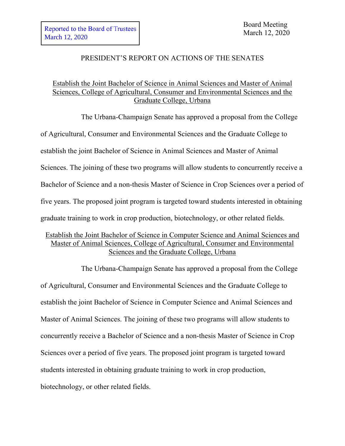## PRESIDENT'S REPORT ON ACTIONS OF THE SENATES

## Establish the Joint Bachelor of Science in Animal Sciences and Master of Animal Sciences, College of Agricultural, Consumer and Environmental Sciences and the Graduate College, Urbana

The Urbana-Champaign Senate has approved a proposal from the College of Agricultural, Consumer and Environmental Sciences and the Graduate College to establish the joint Bachelor of Science in Animal Sciences and Master of Animal Sciences. The joining of these two programs will allow students to concurrently receive a Bachelor of Science and a non-thesis Master of Science in Crop Sciences over a period of five years. The proposed joint program is targeted toward students interested in obtaining graduate training to work in crop production, biotechnology, or other related fields.

## Establish the Joint Bachelor of Science in Computer Science and Animal Sciences and Master of Animal Sciences, College of Agricultural, Consumer and Environmental Sciences and the Graduate College, Urbana

The Urbana-Champaign Senate has approved a proposal from the College of Agricultural, Consumer and Environmental Sciences and the Graduate College to establish the joint Bachelor of Science in Computer Science and Animal Sciences and Master of Animal Sciences. The joining of these two programs will allow students to concurrently receive a Bachelor of Science and a non-thesis Master of Science in Crop Sciences over a period of five years. The proposed joint program is targeted toward students interested in obtaining graduate training to work in crop production, biotechnology, or other related fields.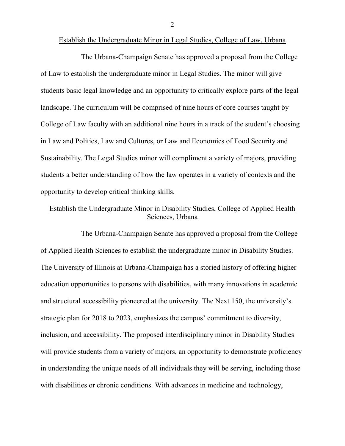Establish the Undergraduate Minor in Legal Studies, College of Law, Urbana

The Urbana-Champaign Senate has approved a proposal from the College of Law to establish the undergraduate minor in Legal Studies. The minor will give students basic legal knowledge and an opportunity to critically explore parts of the legal landscape. The curriculum will be comprised of nine hours of core courses taught by College of Law faculty with an additional nine hours in a track of the student's choosing in Law and Politics, Law and Cultures, or Law and Economics of Food Security and Sustainability. The Legal Studies minor will compliment a variety of majors, providing students a better understanding of how the law operates in a variety of contexts and the opportunity to develop critical thinking skills.

## Establish the Undergraduate Minor in Disability Studies, College of Applied Health Sciences, Urbana

The Urbana-Champaign Senate has approved a proposal from the College of Applied Health Sciences to establish the undergraduate minor in Disability Studies. The University of Illinois at Urbana-Champaign has a storied history of offering higher education opportunities to persons with disabilities, with many innovations in academic and structural accessibility pioneered at the university. The Next 150, the university's strategic plan for 2018 to 2023, emphasizes the campus' commitment to diversity, inclusion, and accessibility. The proposed interdisciplinary minor in Disability Studies will provide students from a variety of majors, an opportunity to demonstrate proficiency in understanding the unique needs of all individuals they will be serving, including those with disabilities or chronic conditions. With advances in medicine and technology,

2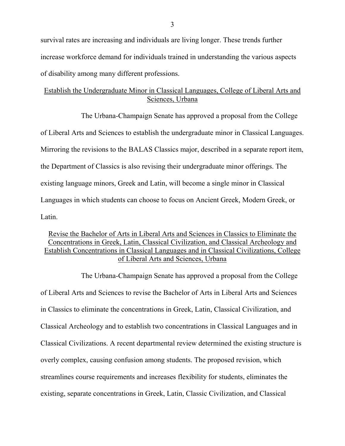survival rates are increasing and individuals are living longer. These trends further increase workforce demand for individuals trained in understanding the various aspects of disability among many different professions.

## Establish the Undergraduate Minor in Classical Languages, College of Liberal Arts and Sciences, Urbana

The Urbana-Champaign Senate has approved a proposal from the College of Liberal Arts and Sciences to establish the undergraduate minor in Classical Languages. Mirroring the revisions to the BALAS Classics major, described in a separate report item, the Department of Classics is also revising their undergraduate minor offerings. The existing language minors, Greek and Latin, will become a single minor in Classical Languages in which students can choose to focus on Ancient Greek, Modern Greek, or Latin.

## Revise the Bachelor of Arts in Liberal Arts and Sciences in Classics to Eliminate the Concentrations in Greek, Latin, Classical Civilization, and Classical Archeology and Establish Concentrations in Classical Languages and in Classical Civilizations, College of Liberal Arts and Sciences, Urbana

The Urbana-Champaign Senate has approved a proposal from the College of Liberal Arts and Sciences to revise the Bachelor of Arts in Liberal Arts and Sciences in Classics to eliminate the concentrations in Greek, Latin, Classical Civilization, and Classical Archeology and to establish two concentrations in Classical Languages and in Classical Civilizations. A recent departmental review determined the existing structure is overly complex, causing confusion among students. The proposed revision, which streamlines course requirements and increases flexibility for students, eliminates the existing, separate concentrations in Greek, Latin, Classic Civilization, and Classical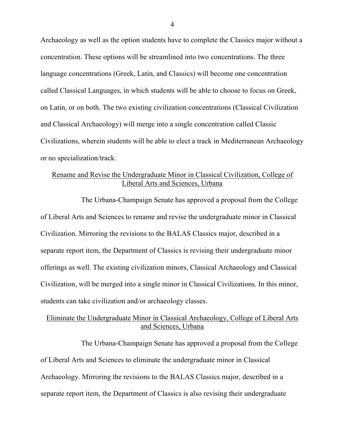Archaeology as well as the option students have to complete the Classics major without a concentration. These options will be streamlined into two concentrations. The three language concentrations (Greek, Latin, and Classics) will become one concentration called Classical Languages, in which students will be able to choose to focus on Greek, on Latin, or on both. The two existing civilization concentrations (Classical Civilization and Classical Archaeology) will merge into a single concentration called Classic Civilizations, wherein students will be able to elect a track in Mediterranean Archaeology or no specialization/track.

#### Rename and Revise the Undergraduate Minor in Classical Civilization, College of Liberal Arts and Sciences, Urbana

The Urbana-Champaign Senate has approved a proposal from the College of Liberal Arts and Sciences to rename and revise the undergraduate minor in Classical Civilization. Mirroring the revisions to the BALAS Classics major, described in a separate report item, the Department of Classics is revising their undergraduate minor offerings as well. The existing civilization minors, Classical Archaeology and Classical Civilization, will be merged into a single minor in Classical Civilizations. In this minor, students can take civilization and/or archaeology classes.

### Eliminate the Undergraduate Minor in Classical Archaeology, College of Liberal Arts and Sciences, Urbana

The Urbana-Champaign Senate has approved a proposal from the College of Liberal Arts and Sciences to eliminate the undergraduate minor in Classical Archaeology. Mirroring the revisions to the BALAS Classics major, described in a separate report item, the Department of Classics is also revising their undergraduate

4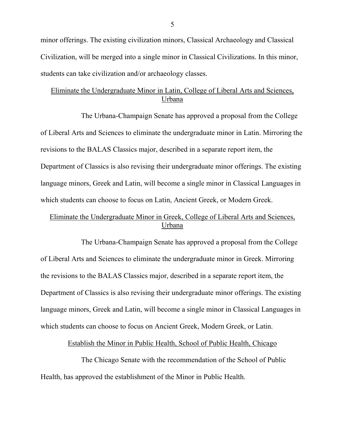minor offerings. The existing civilization minors, Classical Archaeology and Classical Civilization, will be merged into a single minor in Classical Civilizations. In this minor, students can take civilization and/or archaeology classes.

# Eliminate the Undergraduate Minor in Latin, College of Liberal Arts and Sciences, Urbana

The Urbana-Champaign Senate has approved a proposal from the College of Liberal Arts and Sciences to eliminate the undergraduate minor in Latin. Mirroring the revisions to the BALAS Classics major, described in a separate report item, the Department of Classics is also revising their undergraduate minor offerings. The existing language minors, Greek and Latin, will become a single minor in Classical Languages in which students can choose to focus on Latin, Ancient Greek, or Modern Greek.

# Eliminate the Undergraduate Minor in Greek, College of Liberal Arts and Sciences, Urbana

The Urbana-Champaign Senate has approved a proposal from the College of Liberal Arts and Sciences to eliminate the undergraduate minor in Greek. Mirroring the revisions to the BALAS Classics major, described in a separate report item, the Department of Classics is also revising their undergraduate minor offerings. The existing language minors, Greek and Latin, will become a single minor in Classical Languages in which students can choose to focus on Ancient Greek, Modern Greek, or Latin.

Establish the Minor in Public Health, School of Public Health, Chicago

The Chicago Senate with the recommendation of the School of Public Health, has approved the establishment of the Minor in Public Health.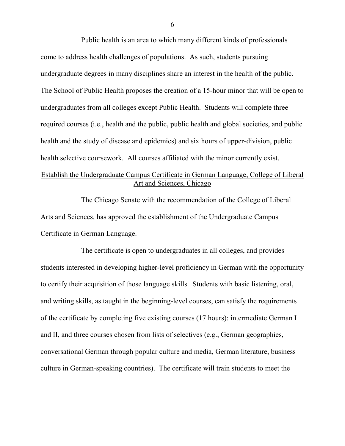Public health is an area to which many different kinds of professionals come to address health challenges of populations. As such, students pursuing undergraduate degrees in many disciplines share an interest in the health of the public. The School of Public Health proposes the creation of a 15-hour minor that will be open to undergraduates from all colleges except Public Health. Students will complete three required courses (i.e., health and the public, public health and global societies, and public health and the study of disease and epidemics) and six hours of upper-division, public health selective coursework. All courses affiliated with the minor currently exist. Establish the Undergraduate Campus Certificate in German Language, College of Liberal Art and Sciences, Chicago

The Chicago Senate with the recommendation of the College of Liberal Arts and Sciences, has approved the establishment of the Undergraduate Campus Certificate in German Language.

The certificate is open to undergraduates in all colleges, and provides students interested in developing higher-level proficiency in German with the opportunity to certify their acquisition of those language skills. Students with basic listening, oral, and writing skills, as taught in the beginning-level courses, can satisfy the requirements of the certificate by completing five existing courses (17 hours): intermediate German I and II, and three courses chosen from lists of selectives (e.g., German geographies, conversational German through popular culture and media, German literature, business culture in German-speaking countries). The certificate will train students to meet the

6